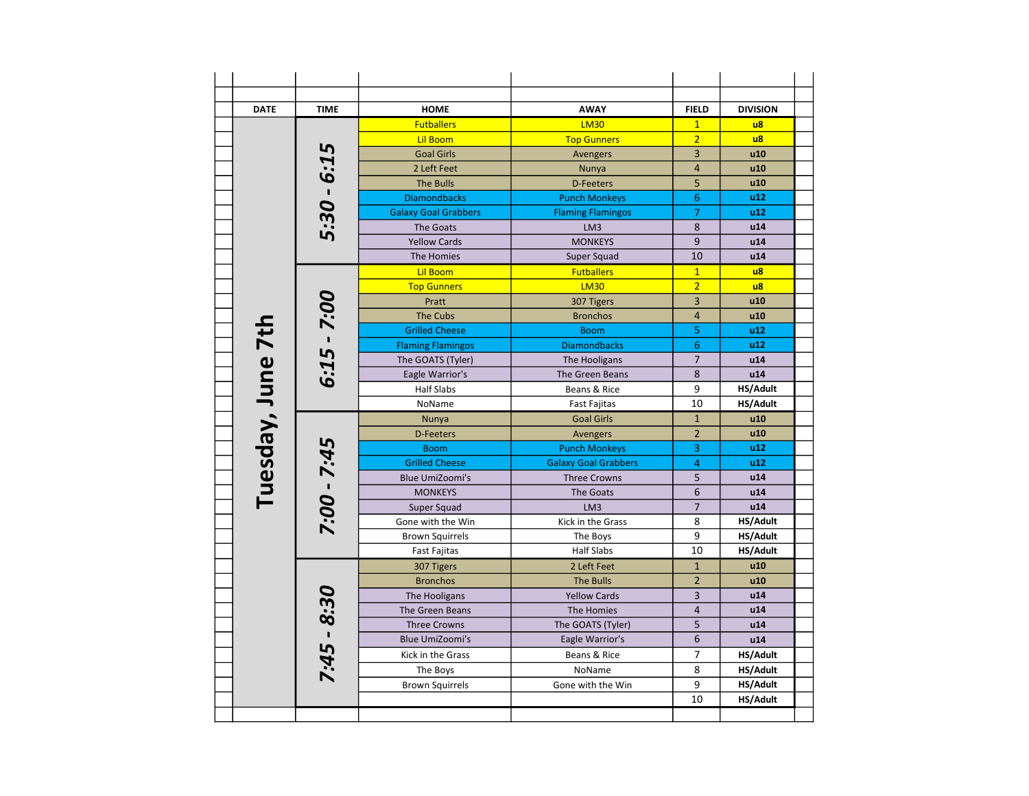| <b>DATE</b>       | <b>TIME</b>   | <b>HOME</b>                 | <b>AWAY</b>                 | <b>FIELD</b>   | <b>DIVISION</b> |
|-------------------|---------------|-----------------------------|-----------------------------|----------------|-----------------|
|                   |               | <b>Futballers</b>           | <b>LM30</b>                 | $\mathbf{1}$   | $\overline{u}$  |
|                   |               | <b>Lil Boom</b>             | <b>Top Gunners</b>          | $\overline{2}$ | $\overline{u}$  |
|                   |               | <b>Goal Girls</b>           | Avengers                    | $\overline{3}$ | u10             |
|                   |               | 2 Left Feet                 | Nunya                       | $\overline{4}$ | u10             |
|                   |               | <b>The Bulls</b>            | <b>D-Feeters</b>            | 5              | u10             |
|                   |               | <b>Diamondbacks</b>         | <b>Punch Monkeys</b>        | 6              | u12             |
|                   | 5:30 - 6:15   | <b>Galaxy Goal Grabbers</b> | <b>Flaming Flamingos</b>    | $\overline{7}$ | u12             |
|                   |               | The Goats                   | LM3                         | 8              | u14             |
|                   |               | <b>Yellow Cards</b>         | <b>MONKEYS</b>              | 9              | u14             |
|                   |               | The Homies                  | Super Squad                 | 10             | u14             |
|                   |               | <b>Lil Boom</b>             | <b>Futballers</b>           | $\mathbf{1}$   | $\overline{u}$  |
|                   |               | <b>Top Gunners</b>          | <b>LM30</b>                 | $\overline{2}$ | $\overline{u}$  |
|                   |               | Pratt                       | 307 Tigers                  | 3              | u10             |
|                   |               | <b>The Cubs</b>             | <b>Bronchos</b>             | $\overline{4}$ | u10             |
|                   |               | <b>Grilled Cheese</b>       | <b>Boom</b>                 | 5              | u12             |
|                   | $6:15 - 7:00$ | <b>Flaming Flamingos</b>    | <b>Diamondbacks</b>         | 6              | u12             |
|                   |               | The GOATS (Tyler)           | The Hooligans               | $\overline{7}$ | u14             |
|                   |               | Eagle Warrior's             | The Green Beans             | 8              | u14             |
|                   |               | <b>Half Slabs</b>           | Beans & Rice                | 9              | HS/Adult        |
| Tuesday, June 7th |               | NoName                      | <b>Fast Fajitas</b>         | 10             | HS/Adult        |
|                   |               | Nunya                       | <b>Goal Girls</b>           | $\mathbf{1}$   | u10             |
|                   |               | <b>D-Feeters</b>            | Avengers                    | $\overline{2}$ | u10             |
|                   |               | <b>Boom</b>                 | <b>Punch Monkeys</b>        | 3              | u12             |
|                   | 7:00 - 7:45   | <b>Grilled Cheese</b>       | <b>Galaxy Goal Grabbers</b> | $\overline{4}$ | u12             |
|                   |               | <b>Blue UmiZoomi's</b>      | <b>Three Crowns</b>         | 5              | u14             |
|                   |               | <b>MONKEYS</b>              | The Goats                   | 6              | u14             |
|                   |               | Super Squad                 | LM3                         | $\overline{7}$ | u14             |
|                   |               | Gone with the Win           | Kick in the Grass           | 8              | HS/Adult        |
|                   |               | <b>Brown Squirrels</b>      | The Boys                    | 9              | HS/Adult        |
|                   |               | <b>Fast Fajitas</b>         | <b>Half Slabs</b>           | 10             | HS/Adult        |
|                   |               | 307 Tigers                  | 2 Left Feet                 | $\mathbf{1}$   | u10             |
|                   |               | <b>Bronchos</b>             | <b>The Bulls</b>            | $\overline{2}$ | u10             |
|                   |               | The Hooligans               | <b>Yellow Cards</b>         | $\overline{3}$ | u14             |
|                   |               | The Green Beans             | The Homies                  | $\overline{4}$ | u14             |
|                   |               | <b>Three Crowns</b>         | The GOATS (Tyler)           | 5              | u14             |
|                   |               | <b>Blue UmiZoomi's</b>      | Eagle Warrior's             | 6              | u14             |
|                   | $7:45 - 8:30$ | Kick in the Grass           | Beans & Rice                | $\overline{7}$ | HS/Adult        |
|                   |               | The Boys                    | NoName                      | 8              | HS/Adult        |
|                   |               | <b>Brown Squirrels</b>      | Gone with the Win           | 9              | HS/Adult        |
|                   |               |                             |                             | 10             | <b>HS/Adult</b> |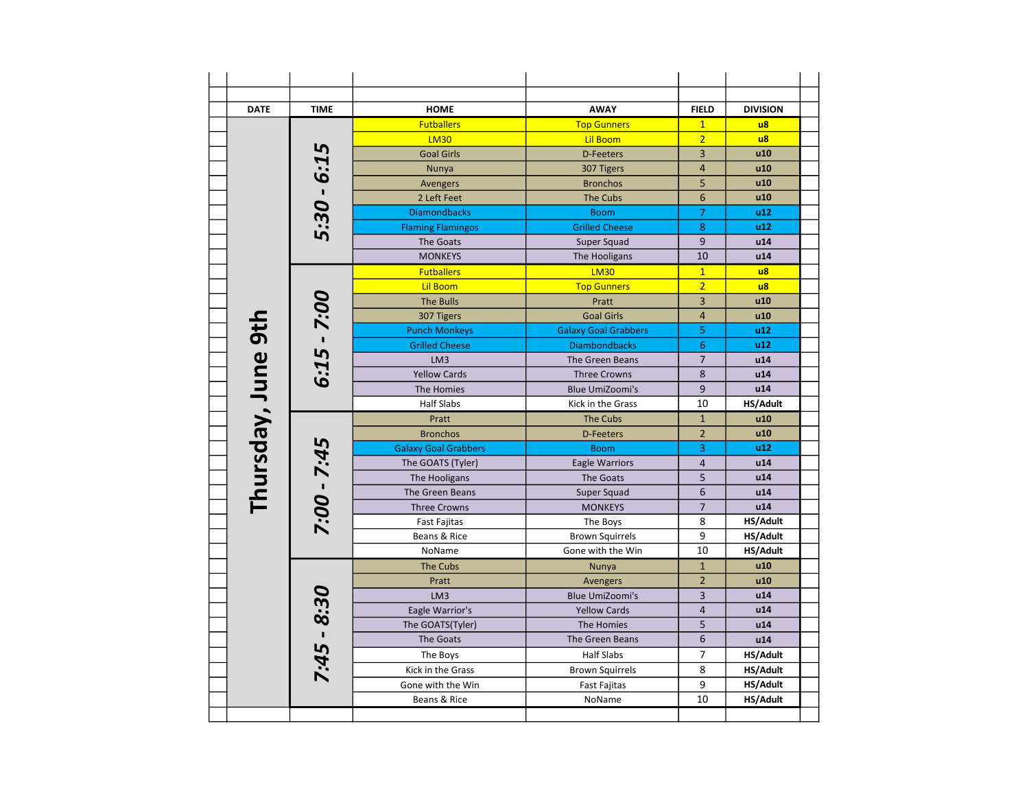| <b>DATE</b>        | <b>TIME</b>   | <b>HOME</b>                 | <b>AWAY</b>                 | <b>FIELD</b>    | <b>DIVISION</b> |
|--------------------|---------------|-----------------------------|-----------------------------|-----------------|-----------------|
|                    |               | <b>Futballers</b>           | <b>Top Gunners</b>          | $\mathbf{1}$    | $\overline{u}$  |
|                    |               | <b>LM30</b>                 | <b>Lil Boom</b>             | $\overline{2}$  | $\overline{u}$  |
|                    |               | <b>Goal Girls</b>           | <b>D-Feeters</b>            | $\overline{3}$  | u10             |
|                    |               | Nunya                       | 307 Tigers                  | $\overline{4}$  | u10             |
|                    |               | Avengers                    | <b>Bronchos</b>             | 5               | u10             |
|                    |               | 2 Left Feet                 | <b>The Cubs</b>             | 6               | u10             |
|                    | 5:30 - 6:15   | <b>Diamondbacks</b>         | <b>Boom</b>                 | $\overline{7}$  | u12             |
|                    |               | <b>Flaming Flamingos</b>    | <b>Grilled Cheese</b>       | 8               | u12             |
|                    |               | The Goats                   | Super Squad                 | 9               | u14             |
|                    |               | <b>MONKEYS</b>              | The Hooligans               | 10              | u14             |
|                    |               | <b>Futballers</b>           | <b>LM30</b>                 | $\mathbf{1}$    | $\overline{u}$  |
|                    |               | <b>Lil Boom</b>             | <b>Top Gunners</b>          | $\overline{2}$  | $\overline{u}$  |
|                    |               | <b>The Bulls</b>            | Pratt                       | $\overline{3}$  | u10             |
|                    |               | 307 Tigers                  | <b>Goal Girls</b>           | $\overline{4}$  | u10             |
|                    | $6:15 - 7:00$ | <b>Punch Monkeys</b>        | <b>Galaxy Goal Grabbers</b> | 5               | u12             |
|                    |               | <b>Grilled Cheese</b>       | <b>Diambondbacks</b>        | 6               | u12             |
|                    |               | LM3                         | The Green Beans             | $\overline{7}$  | u14             |
|                    |               | <b>Yellow Cards</b>         | <b>Three Crowns</b>         | 8               | u14             |
|                    |               | The Homies                  | <b>Blue UmiZoomi's</b>      | 9               | u14             |
| Thursday, June 9th |               | <b>Half Slabs</b>           | Kick in the Grass           | 10              | HS/Adult        |
|                    |               | Pratt                       | The Cubs                    | $\mathbf{1}$    | u10             |
|                    |               | <b>Bronchos</b>             | <b>D-Feeters</b>            | $\overline{2}$  | u10             |
|                    |               | <b>Galaxy Goal Grabbers</b> | <b>Boom</b>                 | 3               | u12             |
|                    | 7:00 - 7:45   | The GOATS (Tyler)           | <b>Eagle Warriors</b>       | $\overline{4}$  | u14             |
|                    |               | The Hooligans               | <b>The Goats</b>            | 5               | u14             |
|                    |               | The Green Beans             | Super Squad                 | 6               | u14             |
|                    |               | <b>Three Crowns</b>         | <b>MONKEYS</b>              | $\overline{7}$  | u14             |
|                    |               | <b>Fast Fajitas</b>         | The Boys                    | 8               | HS/Adult        |
|                    |               | Beans & Rice                | <b>Brown Squirrels</b>      | 9               | HS/Adult        |
|                    |               | NoName                      | Gone with the Win           | 10              | HS/Adult        |
|                    |               | <b>The Cubs</b>             | Nunya                       | $\mathbf{1}$    | u10             |
|                    |               | Pratt                       | Avengers                    | $\overline{2}$  | u10             |
|                    |               | LM <sub>3</sub>             | <b>Blue UmiZoomi's</b>      | 3               | u14             |
|                    |               | Eagle Warrior's             | <b>Yellow Cards</b>         | $\overline{4}$  | u14             |
|                    | $7:45 - 8:30$ | The GOATS(Tyler)            | The Homies                  | 5               | u14             |
|                    |               | The Goats                   | The Green Beans             | $6\phantom{1}6$ | u14             |
|                    |               | The Boys                    | <b>Half Slabs</b>           | $\overline{7}$  | HS/Adult        |
|                    |               | Kick in the Grass           | <b>Brown Squirrels</b>      | 8               | HS/Adult        |
|                    |               | Gone with the Win           | <b>Fast Fajitas</b>         | 9               | HS/Adult        |
|                    |               | Beans & Rice                | NoName                      | 10              | HS/Adult        |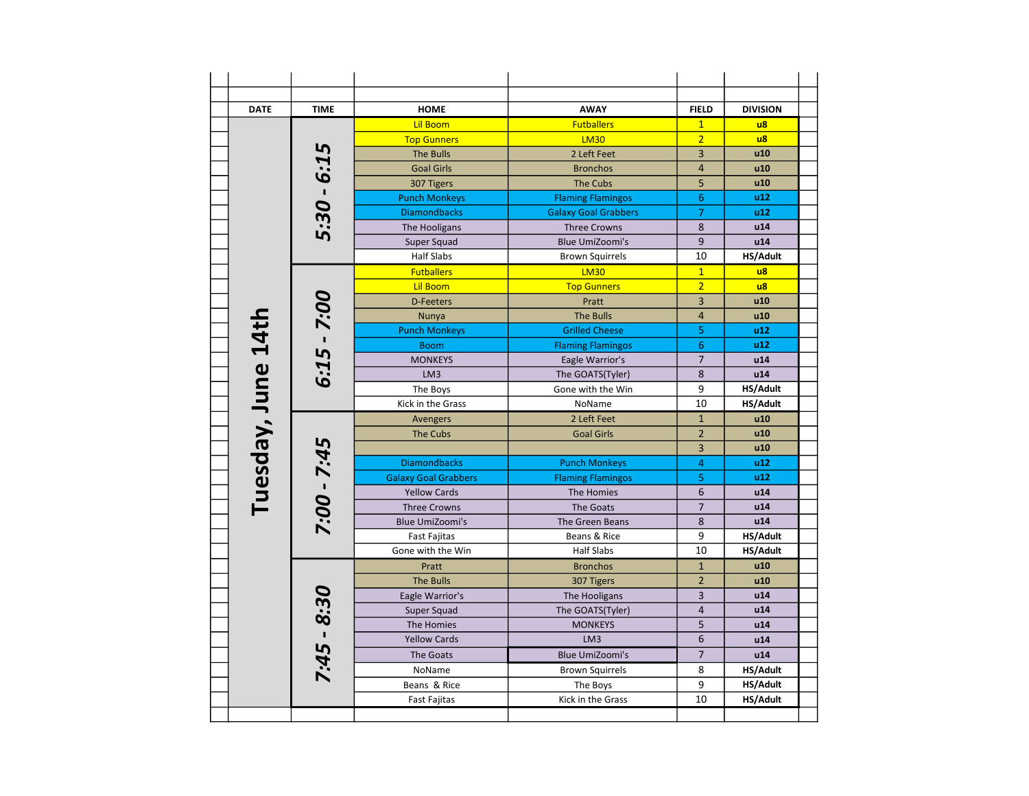| <b>DATE</b>   | <b>TIME</b>   | <b>HOME</b>                 | <b>AWAY</b>                 | <b>FIELD</b>     | <b>DIVISION</b> |
|---------------|---------------|-----------------------------|-----------------------------|------------------|-----------------|
|               |               | <b>Lil Boom</b>             | <b>Futballers</b>           | $\mathbf{1}$     | $\overline{u}$  |
|               |               | <b>Top Gunners</b>          | <b>LM30</b>                 | $\overline{2}$   | $\overline{u}$  |
|               |               | The Bulls                   | 2 Left Feet                 | $\overline{3}$   | u10             |
|               |               | <b>Goal Girls</b>           | <b>Bronchos</b>             | $\overline{4}$   | u10             |
|               |               | 307 Tigers                  | <b>The Cubs</b>             | 5                | u10             |
|               |               | <b>Punch Monkeys</b>        | <b>Flaming Flamingos</b>    | $\boldsymbol{6}$ | u12             |
|               | $5.30 - 6.15$ | <b>Diamondbacks</b>         | <b>Galaxy Goal Grabbers</b> | $\overline{7}$   | u12             |
|               |               | The Hooligans               | <b>Three Crowns</b>         | 8                | u14             |
|               |               | Super Squad                 | <b>Blue UmiZoomi's</b>      | 9                | u14             |
|               |               | <b>Half Slabs</b>           | <b>Brown Squirrels</b>      | 10               | HS/Adult        |
|               |               | <b>Futballers</b>           | <b>LM30</b>                 | $\mathbf{1}$     | $\overline{u}$  |
|               |               | <b>Lil Boom</b>             | <b>Top Gunners</b>          | $\overline{2}$   | $\overline{u}$  |
|               |               | <b>D-Feeters</b>            | Pratt                       | 3                | u10             |
|               |               | Nunya                       | <b>The Bulls</b>            | $\overline{4}$   | u10             |
| <b>14th</b>   | $6:15 - 7:00$ | <b>Punch Monkeys</b>        | <b>Grilled Cheese</b>       | 5                | u12             |
|               |               | <b>Boom</b>                 | <b>Flaming Flamingos</b>    | 6                | u12             |
|               |               | <b>MONKEYS</b>              | Eagle Warrior's             | $\overline{7}$   | u14             |
|               |               | LM3                         | The GOATS(Tyler)            | 8                | u14             |
|               |               | The Boys                    | Gone with the Win           | 9                | HS/Adult        |
|               |               | Kick in the Grass           | NoName                      | 10               | HS/Adult        |
| Tuesday, June |               |                             |                             | $\overline{1}$   | u10             |
|               |               | Avengers                    | 2 Left Feet                 | $\overline{2}$   | u10             |
|               |               | The Cubs                    | <b>Goal Girls</b>           | 3                |                 |
|               | 7:00 - 7:45   |                             |                             |                  | u10             |
|               |               | <b>Diamondbacks</b>         | <b>Punch Monkeys</b>        | $\overline{4}$   | u12             |
|               |               | <b>Galaxy Goal Grabbers</b> | <b>Flaming Flamingos</b>    | 5                | u12             |
|               |               | <b>Yellow Cards</b>         | The Homies                  | $6\phantom{1}6$  | u14             |
|               |               | <b>Three Crowns</b>         | The Goats                   | $\overline{7}$   | u14             |
|               |               | <b>Blue UmiZoomi's</b>      | The Green Beans             | 8                | u14             |
|               |               | Fast Fajitas                | Beans & Rice                | 9                | HS/Adult        |
|               |               | Gone with the Win           | <b>Half Slabs</b>           | 10               | HS/Adult        |
|               |               | Pratt                       | <b>Bronchos</b>             | $\mathbf 1$      | u10             |
|               |               | <b>The Bulls</b>            | 307 Tigers                  | $\overline{2}$   | u10             |
|               |               | Eagle Warrior's             | The Hooligans               | 3                | u14             |
|               |               | Super Squad                 | The GOATS(Tyler)            | $\overline{4}$   | u14             |
|               | $7:45 - 8:30$ | The Homies                  | <b>MONKEYS</b>              | 5                | u14             |
|               |               | <b>Yellow Cards</b>         | LM <sub>3</sub>             | $\boldsymbol{6}$ | u14             |
|               |               | <b>The Goats</b>            | <b>Blue UmiZoomi's</b>      | $\overline{7}$   | u14             |
|               |               | NoName                      | <b>Brown Squirrels</b>      | 8                | HS/Adult        |
|               |               | Beans & Rice                | The Boys                    | 9                | HS/Adult        |
|               |               | <b>Fast Fajitas</b>         | Kick in the Grass           | 10               | <b>HS/Adult</b> |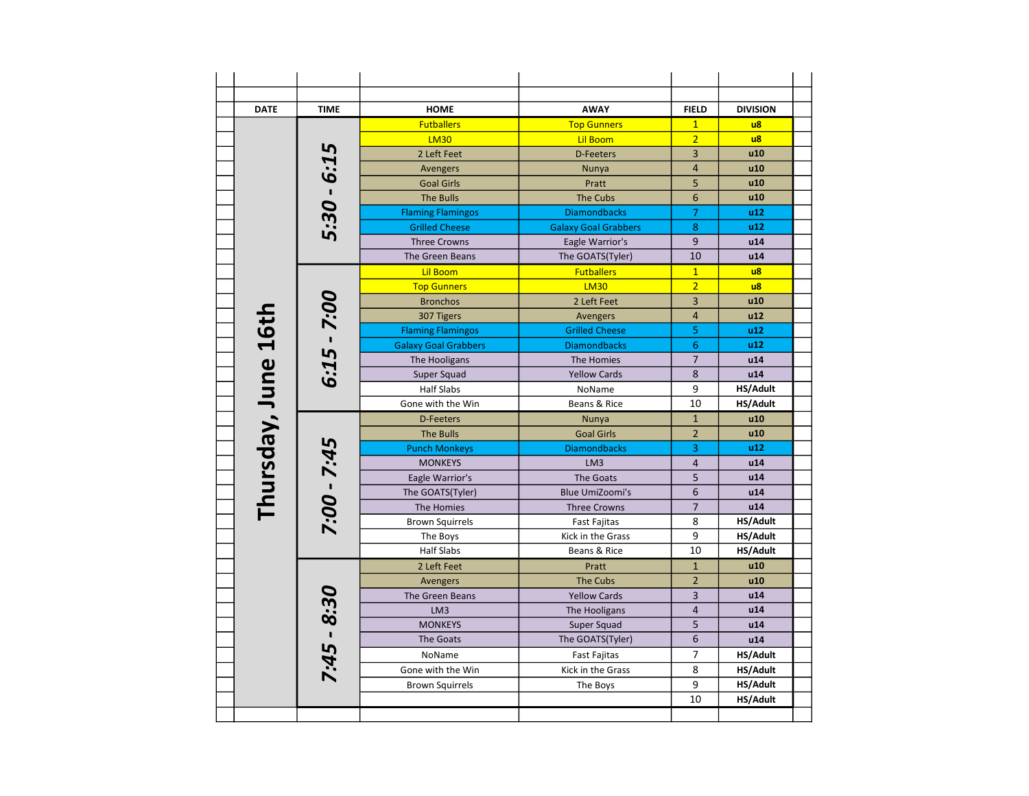| <b>DATE</b>         | <b>TIME</b>   | <b>HOME</b>                 | <b>AWAY</b>                 | <b>FIELD</b>             | <b>DIVISION</b> |
|---------------------|---------------|-----------------------------|-----------------------------|--------------------------|-----------------|
|                     |               | <b>Futballers</b>           | <b>Top Gunners</b>          | $\mathbf{1}$             | $\overline{u}$  |
|                     |               | <b>LM30</b>                 | <b>Lil Boom</b>             | $\overline{2}$           | $\overline{u}$  |
|                     |               | 2 Left Feet                 | <b>D-Feeters</b>            | 3                        | u10             |
|                     |               | <b>Avengers</b>             | Nunya                       | $\overline{4}$           | u10             |
|                     |               | <b>Goal Girls</b>           | Pratt                       | 5                        | u10             |
|                     |               | <b>The Bulls</b>            | <b>The Cubs</b>             | 6                        | u10             |
|                     | 5:30 - 6:15   | <b>Flaming Flamingos</b>    | <b>Diamondbacks</b>         | $\overline{7}$           | u12             |
|                     |               | <b>Grilled Cheese</b>       | <b>Galaxy Goal Grabbers</b> | 8                        | u12             |
|                     |               | <b>Three Crowns</b>         | Eagle Warrior's             | 9                        | u14             |
|                     |               | The Green Beans             | The GOATS(Tyler)            | 10                       | u14             |
|                     |               | <b>Lil Boom</b>             | <b>Futballers</b>           | $\mathbf{1}$             | $\mathsf{u}$ 8  |
|                     |               | <b>Top Gunners</b>          | <b>LM30</b>                 | $\overline{2}$           | $\overline{u}$  |
|                     |               | <b>Bronchos</b>             | 2 Left Feet                 | 3                        | u10             |
|                     |               | 307 Tigers                  | Avengers                    | $\overline{4}$           | u12             |
|                     | $6:15$ - 7:00 | <b>Flaming Flamingos</b>    | <b>Grilled Cheese</b>       | 5                        | u12             |
|                     |               | <b>Galaxy Goal Grabbers</b> | <b>Diamondbacks</b>         | 6                        | u12             |
|                     |               | The Hooligans               | The Homies                  | $\overline{7}$           | u14             |
|                     |               | Super Squad                 | <b>Yellow Cards</b>         | 8                        | u14             |
|                     |               | <b>Half Slabs</b>           | NoName                      | 9                        | HS/Adult        |
| Thursday, June 16th |               | Gone with the Win           | Beans & Rice                | 10                       | HS/Adult        |
|                     |               | <b>D-Feeters</b>            | Nunya                       | $\mathbf{1}$             | u10             |
|                     |               | <b>The Bulls</b>            | <b>Goal Girls</b>           | $\overline{2}$           | u10             |
|                     |               | <b>Punch Monkeys</b>        | <b>Diamondbacks</b>         | 3                        | u12             |
|                     |               | <b>MONKEYS</b>              | LM <sub>3</sub>             | $\overline{4}$           | u14             |
|                     | 7:00 - 7:45   | Eagle Warrior's             | The Goats                   | 5                        | u14             |
|                     |               | The GOATS(Tyler)            | <b>Blue UmiZoomi's</b>      | 6                        | u14             |
|                     |               | The Homies                  | <b>Three Crowns</b>         | $\overline{\phantom{a}}$ | u14             |
|                     |               | <b>Brown Squirrels</b>      | <b>Fast Fajitas</b>         | 8                        | HS/Adult        |
|                     |               | The Boys                    | Kick in the Grass           | 9                        | HS/Adult        |
|                     |               | <b>Half Slabs</b>           | Beans & Rice                | 10                       | HS/Adult        |
|                     |               | 2 Left Feet                 | Pratt                       | $\mathbf{1}$             | u10             |
|                     |               | <b>Avengers</b>             | <b>The Cubs</b>             | $\overline{2}$           | u10             |
|                     |               | The Green Beans             | <b>Yellow Cards</b>         | 3                        | u14             |
|                     |               | LM <sub>3</sub>             | The Hooligans               | $\overline{4}$           | u14             |
|                     |               | <b>MONKEYS</b>              | Super Squad                 | 5                        | u14             |
|                     | 7:45 - 8:30   | <b>The Goats</b>            | The GOATS(Tyler)            | 6                        | u14             |
|                     |               | NoName                      | <b>Fast Fajitas</b>         | $\overline{7}$           | HS/Adult        |
|                     |               | Gone with the Win           | Kick in the Grass           | 8                        | HS/Adult        |
|                     |               | <b>Brown Squirrels</b>      | The Boys                    | 9                        | HS/Adult        |
|                     |               |                             |                             | 10                       | HS/Adult        |
|                     |               |                             |                             |                          |                 |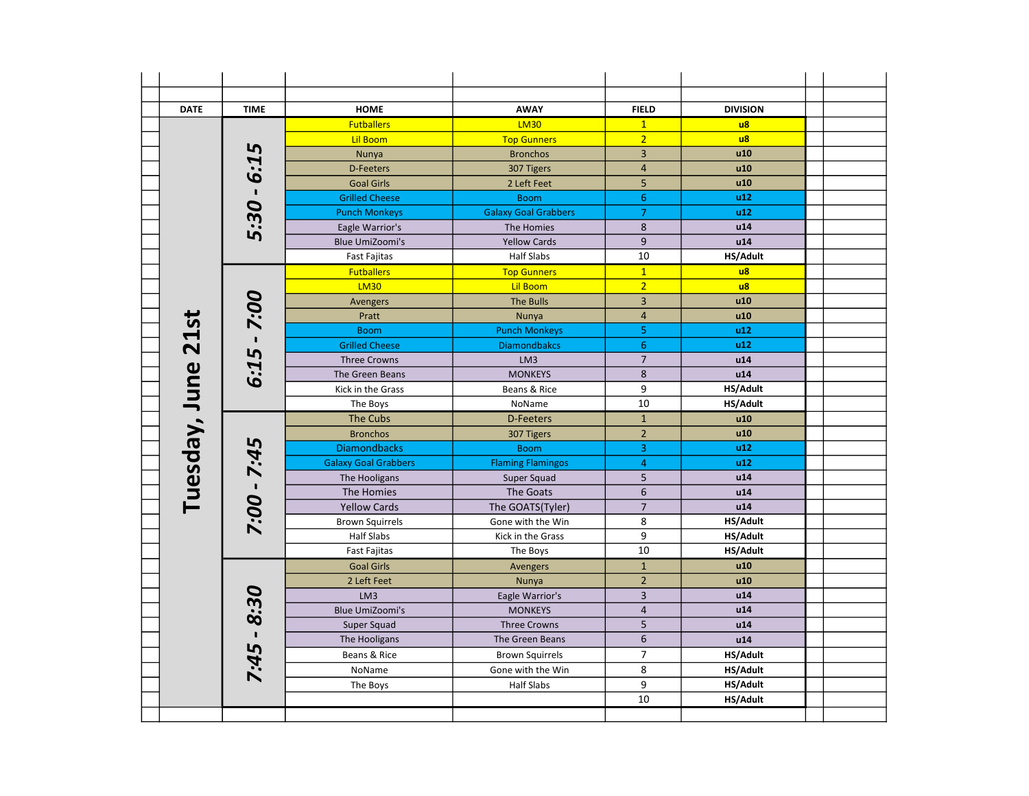| <b>DATE</b>   | <b>TIME</b> | <b>HOME</b>                 | <b>AWAY</b>                 | <b>FIELD</b>            | <b>DIVISION</b> |  |
|---------------|-------------|-----------------------------|-----------------------------|-------------------------|-----------------|--|
|               |             | <b>Futballers</b>           | <b>LM30</b>                 | $\mathbf{1}$            | $\overline{u}$  |  |
|               |             | <b>Lil Boom</b>             | <b>Top Gunners</b>          | $\overline{2}$          | $\overline{u}$  |  |
|               | 5           | Nunya                       | <b>Bronchos</b>             | 3                       | u10             |  |
|               | <b>r:9</b>  | D-Feeters                   | 307 Tigers                  | $\sqrt{4}$              | u10             |  |
|               |             | <b>Goal Girls</b>           | 2 Left Feet                 | 5                       | u10             |  |
|               |             | <b>Grilled Cheese</b>       | <b>Boom</b>                 | $\boldsymbol{6}$        | u12             |  |
|               | 5:30        | <b>Punch Monkeys</b>        | <b>Galaxy Goal Grabbers</b> | $\overline{7}$          | u12             |  |
|               |             | Eagle Warrior's             | The Homies                  | 8                       | u14             |  |
|               |             | <b>Blue UmiZoomi's</b>      | <b>Yellow Cards</b>         | 9                       | u14             |  |
|               |             | Fast Fajitas                | <b>Half Slabs</b>           | 10                      | HS/Adult        |  |
|               |             | <b>Futballers</b>           | <b>Top Gunners</b>          | $\mathbf{1}$            | $\overline{u}$  |  |
|               |             | <b>LM30</b>                 | <b>Lil Boom</b>             | $\overline{2}$          | $\overline{u}$  |  |
|               | 7:00        | Avengers                    | <b>The Bulls</b>            | $\overline{\mathbf{3}}$ | u10             |  |
|               |             | Pratt                       | Nunya                       | $\sqrt{4}$              | u10             |  |
|               |             | <b>Boom</b>                 | <b>Punch Monkeys</b>        | 5                       | u12             |  |
| 21st          |             | <b>Grilled Cheese</b>       | <b>Diamondbakcs</b>         | $6\phantom{1}6$         | u12             |  |
|               | 6:15        | <b>Three Crowns</b>         | LM3                         | $\overline{7}$          | u14             |  |
|               |             | The Green Beans             | <b>MONKEYS</b>              | $\bf 8$                 | u14             |  |
|               |             | Kick in the Grass           | Beans & Rice                | 9                       | HS/Adult        |  |
| Tuesday, June |             | The Boys                    | NoName                      | 10                      | HS/Adult        |  |
|               |             | The Cubs                    | <b>D-Feeters</b>            | $\mathbf{1}$            | u10             |  |
|               |             | <b>Bronchos</b>             | 307 Tigers                  | $\overline{2}$          | u10             |  |
|               |             | <b>Diamondbacks</b>         | <b>Boom</b>                 | $\overline{\mathbf{3}}$ | u12             |  |
|               | 7:45        | <b>Galaxy Goal Grabbers</b> | <b>Flaming Flamingos</b>    | $\overline{4}$          | u12             |  |
|               |             | The Hooligans               | Super Squad                 | 5                       | u14             |  |
|               |             | The Homies                  | The Goats                   | $\boldsymbol{6}$        | u14             |  |
|               | - 00:2      | <b>Yellow Cards</b>         | The GOATS(Tyler)            | $\overline{7}$          | u14             |  |
|               |             | <b>Brown Squirrels</b>      | Gone with the Win           | 8                       | HS/Adult        |  |
|               |             | <b>Half Slabs</b>           | Kick in the Grass           | 9                       | HS/Adult        |  |
|               |             | <b>Fast Fajitas</b>         | The Boys                    | $\overline{10}$         | HS/Adult        |  |
|               |             | <b>Goal Girls</b>           | Avengers                    | $\mathbf{1}$            | u10             |  |
|               |             | 2 Left Feet                 | Nunya                       | $\overline{2}$          | u10             |  |
|               | 30          | LM3                         | Eagle Warrior's             | $\overline{3}$          | u14             |  |
|               |             | <b>Blue UmiZoomi's</b>      | <b>MONKEYS</b>              | $\overline{4}$          | u14             |  |
|               | $\infty$    | Super Squad                 | <b>Three Crowns</b>         | $\overline{\mathbf{5}}$ | u14             |  |
|               |             | The Hooligans               | The Green Beans             | 6                       | u14             |  |
|               | 7:45        | Beans & Rice                | <b>Brown Squirrels</b>      | $\overline{7}$          | HS/Adult        |  |
|               |             | NoName                      | Gone with the Win           | 8                       | HS/Adult        |  |
|               |             | The Boys                    | <b>Half Slabs</b>           | 9                       | HS/Adult        |  |
|               |             |                             |                             | 10                      | HS/Adult        |  |
|               |             |                             |                             |                         |                 |  |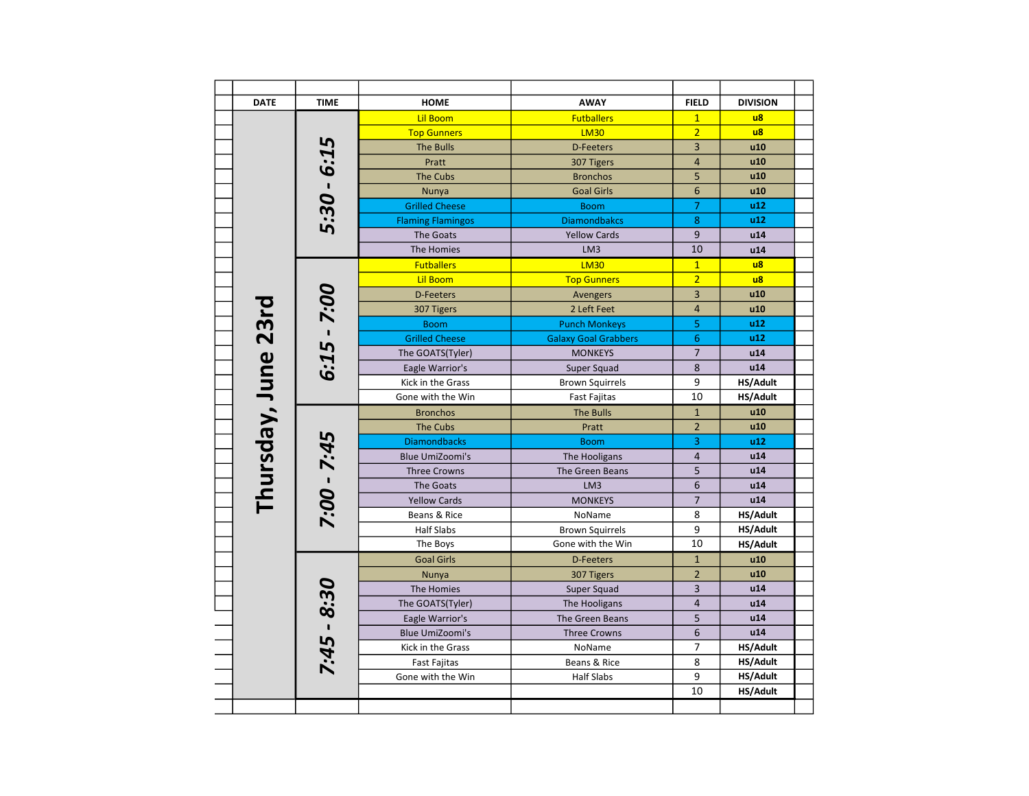| <b>DATE</b>         | <b>TIME</b>   | <b>HOME</b>              | <b>AWAY</b>                 | <b>FIELD</b>    | <b>DIVISION</b> |
|---------------------|---------------|--------------------------|-----------------------------|-----------------|-----------------|
|                     |               | <b>Lil Boom</b>          | <b>Futballers</b>           | $\overline{1}$  | $\overline{u}$  |
|                     |               | <b>Top Gunners</b>       | <b>LM30</b>                 | $\overline{2}$  | $\overline{u}$  |
|                     | 5             | <b>The Bulls</b>         | <b>D-Feeters</b>            | 3               | u10             |
|                     | $5:30 - 6:1$  | Pratt                    | 307 Tigers                  | $\overline{4}$  | u10             |
|                     |               | The Cubs                 | <b>Bronchos</b>             | 5               | u10             |
|                     |               | Nunya                    | <b>Goal Girls</b>           | 6               | u10             |
|                     |               | <b>Grilled Cheese</b>    | <b>Boom</b>                 | $\overline{7}$  | u12             |
|                     |               | <b>Flaming Flamingos</b> | <b>Diamondbakcs</b>         | 8               | u12             |
|                     |               | The Goats                | <b>Yellow Cards</b>         | 9               | u14             |
|                     |               | The Homies               | LM <sub>3</sub>             | 10              | u14             |
|                     |               | <b>Futballers</b>        | <b>LM30</b>                 | $\mathbf{1}$    | $\overline{u}$  |
|                     |               | <b>Lil Boom</b>          | <b>Top Gunners</b>          | $\overline{2}$  | $\overline{u}$  |
|                     |               | <b>D-Feeters</b>         | Avengers                    | 3               | u10             |
|                     | $6:15 - 7:00$ | 307 Tigers               | 2 Left Feet                 | $\overline{a}$  | u10             |
|                     |               | <b>Boom</b>              | <b>Punch Monkeys</b>        | 5               | u12             |
|                     |               | <b>Grilled Cheese</b>    | <b>Galaxy Goal Grabbers</b> | $6\phantom{1}6$ | u12             |
|                     |               | The GOATS(Tyler)         | <b>MONKEYS</b>              | $\overline{7}$  | u14             |
|                     |               | Eagle Warrior's          | Super Squad                 | 8               | u14             |
|                     |               | Kick in the Grass        | <b>Brown Squirrels</b>      | 9               | HS/Adult        |
|                     |               | Gone with the Win        | <b>Fast Fajitas</b>         | 10              | HS/Adult        |
| Thursday, June 23rd |               | <b>Bronchos</b>          | <b>The Bulls</b>            | $\mathbf{1}$    | u10             |
|                     | 7:00 - 7:45   | The Cubs                 | Pratt                       | $\overline{2}$  | u10             |
|                     |               | <b>Diamondbacks</b>      | <b>Boom</b>                 | 3               | u12             |
|                     |               | <b>Blue UmiZoomi's</b>   | The Hooligans               | $\overline{4}$  | u14             |
|                     |               | <b>Three Crowns</b>      | The Green Beans             | 5               | u14             |
|                     |               | The Goats                | LM3                         | 6               | u14             |
|                     |               | <b>Yellow Cards</b>      | <b>MONKEYS</b>              | $\overline{7}$  | u14             |
|                     |               | Beans & Rice             | NoName                      | 8               | HS/Adult        |
|                     |               | Half Slabs               | <b>Brown Squirrels</b>      | 9               | HS/Adult        |
|                     |               | The Boys                 | Gone with the Win           | 10              | HS/Adult        |
|                     |               | <b>Goal Girls</b>        | <b>D-Feeters</b>            | $\mathbf{1}$    | u10             |
|                     |               | Nunya                    | 307 Tigers                  | $\overline{c}$  | u10             |
|                     |               | The Homies               | Super Squad                 | 3               | u14             |
|                     |               | The GOATS(Tyler)         | The Hooligans               | $\overline{4}$  | u14             |
|                     | $7:45 - 8:30$ | Eagle Warrior's          | The Green Beans             | 5               | u14             |
|                     |               | <b>Blue UmiZoomi's</b>   | <b>Three Crowns</b>         | 6               | u14             |
|                     |               | Kick in the Grass        | NoName                      | 7               | HS/Adult        |
|                     |               | <b>Fast Fajitas</b>      | Beans & Rice                | 8               | HS/Adult        |
|                     |               | Gone with the Win        | <b>Half Slabs</b>           | 9               | HS/Adult        |
|                     |               |                          |                             | 10              | HS/Adult        |
|                     |               |                          |                             |                 |                 |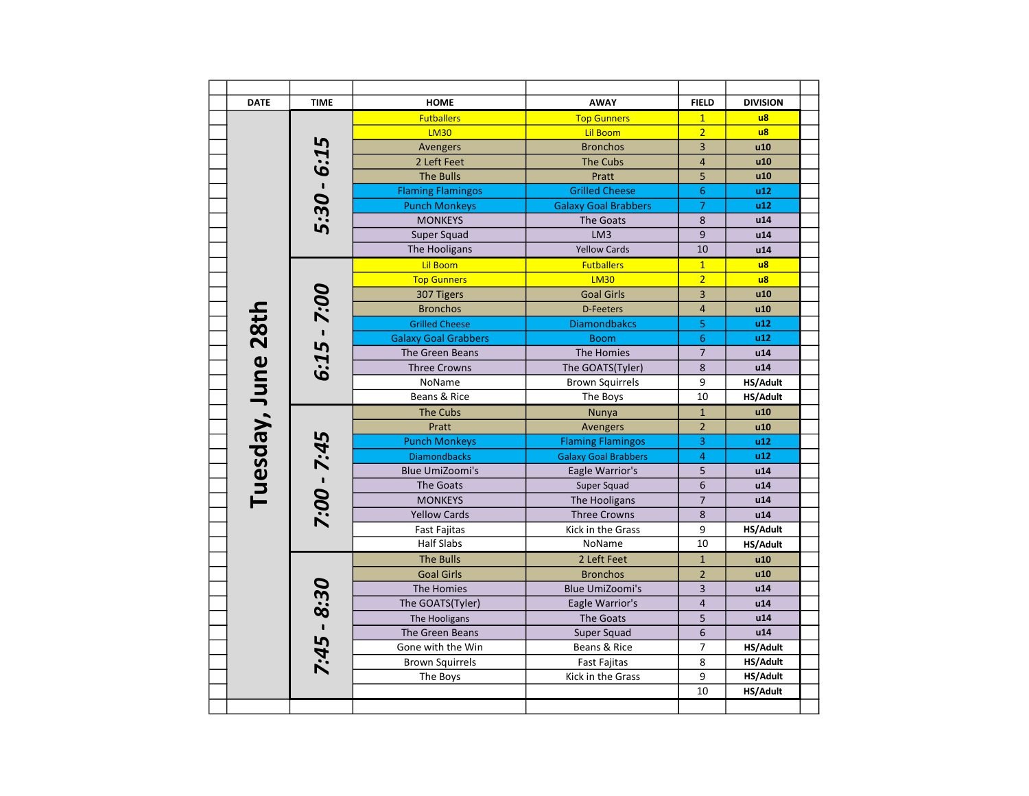| <b>DATE</b>        | <b>TIME</b>   | <b>AWAY</b><br><b>HOME</b>  |                             | <b>FIELD</b>            | <b>DIVISION</b> |
|--------------------|---------------|-----------------------------|-----------------------------|-------------------------|-----------------|
|                    |               | <b>Futballers</b>           | <b>Top Gunners</b>          | $\mathbf{1}$            | $\overline{u}$  |
|                    |               | <b>LM30</b>                 | Lil Boom                    | $\overline{2}$          | $\overline{u}$  |
|                    |               | Avengers                    | <b>Bronchos</b>             | 3                       | u10             |
|                    |               | 2 Left Feet                 | <b>The Cubs</b>             | $\overline{4}$          | u10             |
|                    |               | <b>The Bulls</b>            | Pratt                       | 5                       | u10             |
|                    | $5:30 - 6:15$ | <b>Flaming Flamingos</b>    | <b>Grilled Cheese</b>       | 6                       | u12             |
|                    |               | <b>Punch Monkeys</b>        | <b>Galaxy Goal Brabbers</b> | $\overline{7}$          | u12             |
|                    |               | <b>MONKEYS</b>              | The Goats                   | 8                       | u14             |
|                    |               | Super Squad                 | LM3                         | 9                       | u14             |
|                    |               | The Hooligans               | <b>Yellow Cards</b>         | 10                      | u14             |
|                    |               | <b>Lil Boom</b>             | <b>Futballers</b>           | $\overline{1}$          | $\overline{u}$  |
|                    |               | <b>Top Gunners</b>          | <b>LM30</b>                 | $\overline{2}$          | $\overline{u}$  |
|                    |               | 307 Tigers                  | <b>Goal Girls</b>           | 3                       | u10             |
|                    | $6:15 - 7:00$ | <b>Bronchos</b>             | <b>D-Feeters</b>            | $\overline{4}$          | u10             |
|                    |               | <b>Grilled Cheese</b>       | <b>Diamondbakcs</b>         | 5                       | u12             |
|                    |               | <b>Galaxy Goal Grabbers</b> | <b>Boom</b>                 | $6\phantom{1}$          | u12             |
|                    |               | The Green Beans             | The Homies                  | $\overline{7}$          | u14             |
|                    |               | <b>Three Crowns</b>         | The GOATS(Tyler)            | $\boldsymbol{8}$        | u14             |
|                    |               | NoName                      | <b>Brown Squirrels</b>      | 9                       | HS/Adult        |
|                    |               | Beans & Rice                | The Boys                    | 10                      | HS/Adult        |
| Tuesday, June 28th |               | <b>The Cubs</b>             | <b>Nunya</b>                | $\mathbf 1$             | u10             |
|                    |               | Pratt                       | <b>Avengers</b>             | $\overline{2}$          | u10             |
|                    | 7:00 - 7:45   | <b>Punch Monkeys</b>        | <b>Flaming Flamingos</b>    | 3                       | u12             |
|                    |               | <b>Diamondbacks</b>         | <b>Galaxy Goal Brabbers</b> | $\overline{4}$          | u12             |
|                    |               | <b>Blue UmiZoomi's</b>      | Eagle Warrior's             | 5                       | u14             |
|                    |               | The Goats                   | Super Squad                 | 6                       | u14             |
|                    |               | <b>MONKEYS</b>              | The Hooligans               | $\overline{7}$          | u14             |
|                    |               | <b>Yellow Cards</b>         | <b>Three Crowns</b>         | 8                       | u14             |
|                    |               | <b>Fast Fajitas</b>         | Kick in the Grass           | 9                       | <b>HS/Adult</b> |
|                    |               | <b>Half Slabs</b>           | NoName                      | 10                      | HS/Adult        |
|                    |               | <b>The Bulls</b>            | 2 Left Feet                 | $\mathbf{1}$            | u10             |
|                    |               | <b>Goal Girls</b>           | <b>Bronchos</b>             | $\overline{2}$          | u10             |
|                    |               | The Homies                  | <b>Blue UmiZoomi's</b>      | 3                       | u14             |
|                    |               | The GOATS(Tyler)            | Eagle Warrior's             | $\overline{\mathbf{4}}$ | u14             |
|                    | $7:45 - 8:30$ | The Hooligans               | <b>The Goats</b>            | 5                       | u14             |
|                    |               | The Green Beans             | Super Squad                 | 6                       | u14             |
|                    |               | Gone with the Win           | Beans & Rice                | 7                       | HS/Adult        |
|                    |               | <b>Brown Squirrels</b>      | <b>Fast Fajitas</b>         | 8                       | HS/Adult        |
|                    |               | The Boys                    | Kick in the Grass           | 9                       | HS/Adult        |
|                    |               |                             |                             | 10                      | HS/Adult        |
|                    |               |                             |                             |                         |                 |